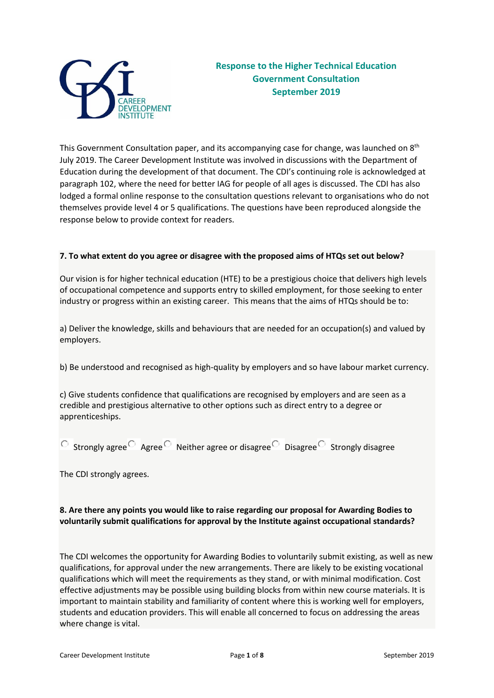

This Government Consultation paper, and its accompanying case for change, was launched on 8<sup>th</sup> July 2019. The Career Development Institute was involved in discussions with the Department of Education during the development of that document. The CDI's continuing role is acknowledged at paragraph 102, where the need for better IAG for people of all ages is discussed. The CDI has also lodged a formal online response to the consultation questions relevant to organisations who do not themselves provide level 4 or 5 qualifications. The questions have been reproduced alongside the response below to provide context for readers.

#### **7. To what extent do you agree or disagree with the proposed aims of HTQs set out below?**

Our vision is for higher technical education (HTE) to be a prestigious choice that delivers high levels of occupational competence and supports entry to skilled employment, for those seeking to enter industry or progress within an existing career. This means that the aims of HTQs should be to:

a) Deliver the knowledge, skills and behaviours that are needed for an occupation(s) and valued by employers.

b) Be understood and recognised as high-quality by employers and so have labour market currency.

c) Give students confidence that qualifications are recognised by employers and are seen as a credible and prestigious alternative to other options such as direct entry to a degree or apprenticeships.

 $\overline{O}$  Strongly agree Agree  $\overline{O}$  Neither agree or disagree Disagree Strongly disagree

The CDI strongly agrees.

## **8. Are there any points you would like to raise regarding our proposal for Awarding Bodies to voluntarily submit qualifications for approval by the Institute against occupational standards?**

The CDI welcomes the opportunity for Awarding Bodies to voluntarily submit existing, as well as new qualifications, for approval under the new arrangements. There are likely to be existing vocational qualifications which will meet the requirements as they stand, or with minimal modification. Cost effective adjustments may be possible using building blocks from within new course materials. It is important to maintain stability and familiarity of content where this is working well for employers, students and education providers. This will enable all concerned to focus on addressing the areas where change is vital.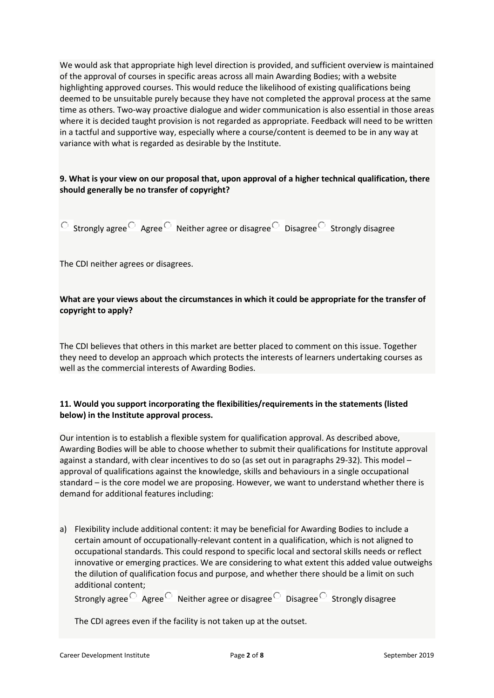We would ask that appropriate high level direction is provided, and sufficient overview is maintained of the approval of courses in specific areas across all main Awarding Bodies; with a website highlighting approved courses. This would reduce the likelihood of existing qualifications being deemed to be unsuitable purely because they have not completed the approval process at the same time as others. Two-way proactive dialogue and wider communication is also essential in those areas where it is decided taught provision is not regarded as appropriate. Feedback will need to be written in a tactful and supportive way, especially where a course/content is deemed to be in any way at variance with what is regarded as desirable by the Institute.

# **9. What is your view on our proposal that, upon approval of a higher technical qualification, there should generally be no transfer of copyright?**

 $\overline{S}$  Strongly agree Agree  $\overline{S}$  Neither agree or disagree Disagree Strongly disagree

The CDI neither agrees or disagrees.

# **What are your views about the circumstances in which it could be appropriate for the transfer of copyright to apply?**

The CDI believes that others in this market are better placed to comment on this issue. Together they need to develop an approach which protects the interests of learners undertaking courses as well as the commercial interests of Awarding Bodies.

# **11. Would you support incorporating the flexibilities/requirements in the statements (listed below) in the Institute approval process.**

Our intention is to establish a flexible system for qualification approval. As described above, Awarding Bodies will be able to choose whether to submit their qualifications for Institute approval against a standard, with clear incentives to do so (as set out in paragraphs 29-32). This model – approval of qualifications against the knowledge, skills and behaviours in a single occupational standard – is the core model we are proposing. However, we want to understand whether there is demand for additional features including:

a) Flexibility include additional content: it may be beneficial for Awarding Bodies to include a certain amount of occupationally-relevant content in a qualification, which is not aligned to occupational standards. This could respond to specific local and sectoral skills needs or reflect innovative or emerging practices. We are considering to what extent this added value outweighs the dilution of qualification focus and purpose, and whether there should be a limit on such additional content;

Strongly agree  $\overline{\circ}$  Agree  $\overline{\circ}$  Neither agree or disagree Disagree Strongly disagree

The CDI agrees even if the facility is not taken up at the outset.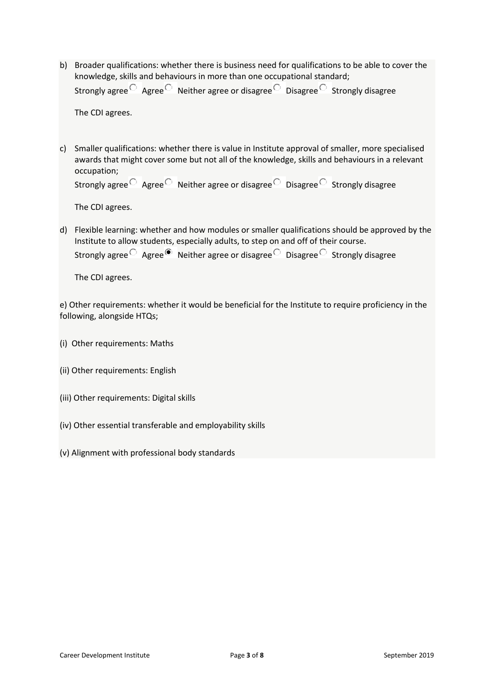b) Broader qualifications: whether there is business need for qualifications to be able to cover the knowledge, skills and behaviours in more than one occupational standard; Strongly agree  $\overline{\circ}$  Agree  $\overline{\circ}$  Neither agree or disagree Disagree Strongly disagree

The CDI agrees.

c) Smaller qualifications: whether there is value in Institute approval of smaller, more specialised awards that might cover some but not all of the knowledge, skills and behaviours in a relevant occupation;

```
Strongly agree \overline{\circ} Agree \overline{\circ} Neither agree or disagree Disagree Strongly disagree
```
The CDI agrees.

d) Flexible learning: whether and how modules or smaller qualifications should be approved by the Institute to allow students, especially adults, to step on and off of their course.

Strongly agree  $\overline{\text{O}}$  Agree  $\overline{\text{O}}$  Neither agree or disagree  $\overline{\text{O}}$  Disagree Strongly disagree

The CDI agrees.

e) Other requirements: whether it would be beneficial for the Institute to require proficiency in the following, alongside HTQs;

- (i) Other requirements: Maths
- (ii) Other requirements: English
- (iii) Other requirements: Digital skills
- (iv) Other essential transferable and employability skills
- (v) Alignment with professional body standards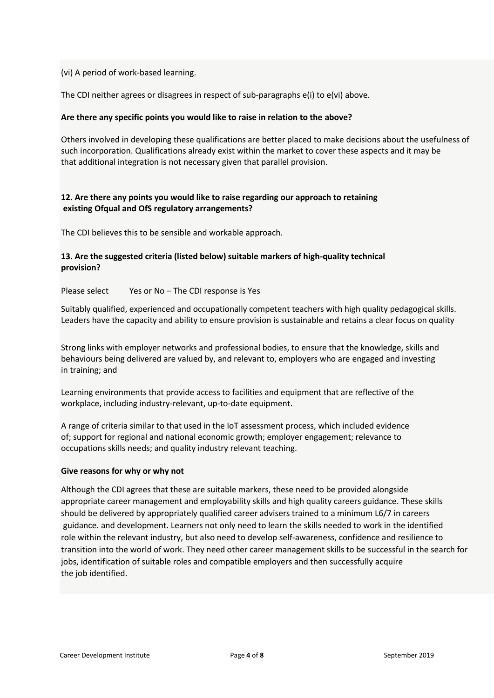(vi) A period of work-based learning.

The CDI neither agrees or disagrees in respect of sub-paragraphs e(i) to e(vi) above.

### **Are there any specific points you would like to raise in relation to the above?**

Others involved in developing these qualifications are better placed to make decisions about the usefulness of such incorporation. Qualifications already exist within the market to cover these aspects and it may be that additional integration is not necessary given that parallel provision.

## **12. Are there any points you would like to raise regarding our approach to retaining existing Ofqual and OfS regulatory arrangements?**

The CDI believes this to be sensible and workable approach.

## **13. Are the suggested criteria (listed below) suitable markers of high-quality technical provision?**

Please select Yes or No – The CDI response is Yes

Suitably qualified, experienced and occupationally competent teachers with high quality pedagogical skills. Leaders have the capacity and ability to ensure provision is sustainable and retains a clear focus on quality

• Strong links with employer networks and professional bodies, to ensure that the knowledge, skills and behaviours being delivered are valued by, and relevant to, employers who are engaged and investing in training; and

• Learning environments that provide access to facilities and equipment that are reflective of the workplace, including industry-relevant, up-to-date equipment.

• A range of criteria similar to that used in the IoT assessment process, which included evidence of; support for regional and national economic growth; employer engagement; relevance to occupations skills needs; and quality industry relevant teaching.

### **Give reasons for why or why not**

Although the CDI agrees that these are suitable markers, these need to be provided alongside appropriate career management and employability skills and high quality careers guidance. These skills should be delivered by appropriately qualified career advisers trained to a minimum L6/7 in careers guidance. and development. Learners not only need to learn the skills needed to work in the identified role within the relevant industry, but also need to develop self-awareness, confidence and resilience to transition into the world of work. They need other career management skills to be successful in the search for jobs, identification of suitable roles and compatible employers and then successfully acquire the job identified.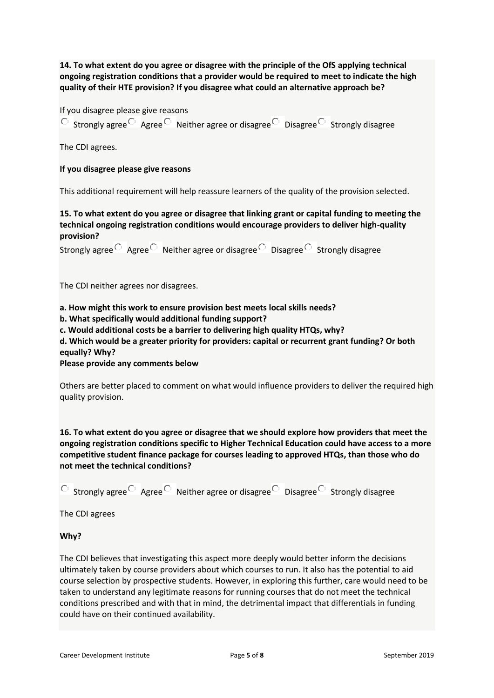**14. To what extent do you agree or disagree with the principle of the OfS applying technical ongoing registration conditions that a provider would be required to meet to indicate the high quality of their HTE provision? If you disagree what could an alternative approach be?**

If you disagree please give reasons

 $\overline{O}$  Strongly agree Agree  $\overline{O}$  Neither agree or disagree  $\overline{O}$  Disagree Strongly disagree

The CDI agrees.

#### **If you disagree please give reasons**

This additional requirement will help reassure learners of the quality of the provision selected.

**15. To what extent do you agree or disagree that linking grant or capital funding to meeting the technical ongoing registration conditions would encourage providers to deliver high-quality provision?**

Strongly agree  $\overline{\circ}$  Agree  $\overline{\circ}$  Neither agree or disagree  $\overline{\circ}$  Disagree Strongly disagree

The CDI neither agrees nor disagrees.

**a. How might this work to ensure provision best meets local skills needs?**

**b. What specifically would additional funding support?**

**c. Would additional costs be a barrier to delivering high quality HTQs, why?**

**d. Which would be a greater priority for providers: capital or recurrent grant funding? Or both equally? Why?**

**Please provide any comments below**

Others are better placed to comment on what would influence providers to deliver the required high quality provision.

**16. To what extent do you agree or disagree that we should explore how providers that meet the ongoing registration conditions specific to Higher Technical Education could have access to a more competitive student finance package for courses leading to approved HTQs, than those who do not meet the technical conditions?**

 $\overline{S}$  Strongly agree Agree  $\overline{S}$  Neither agree or disagree Disagree Strongly disagree

The CDI agrees

**Why?**

The CDI believes that investigating this aspect more deeply would better inform the decisions ultimately taken by course providers about which courses to run. It also has the potential to aid course selection by prospective students. However, in exploring this further, care would need to be taken to understand any legitimate reasons for running courses that do not meet the technical conditions prescribed and with that in mind, the detrimental impact that differentials in funding could have on their continued availability.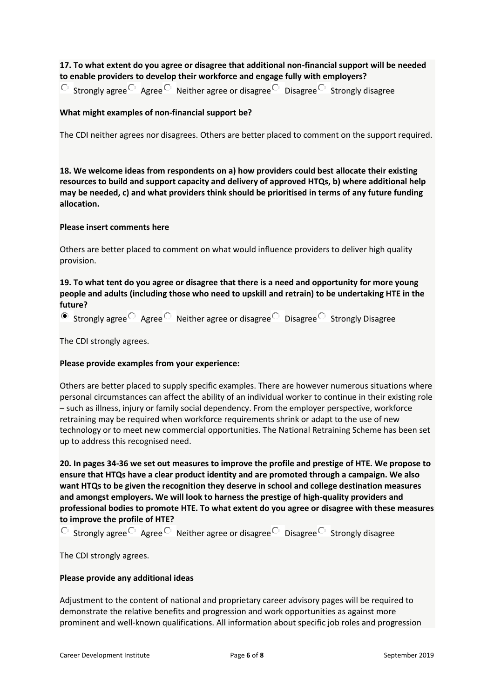# **17. To what extent do you agree or disagree that additional non-financial support will be needed to enable providers to develop their workforce and engage fully with employers?**

 $\degree$  Strongly agree Agree  $\degree$  Neither agree or disagree Disagree Strongly disagree

## **What might examples of non-financial support be?**

The CDI neither agrees nor disagrees. Others are better placed to comment on the support required.

**18. We welcome ideas from respondents on a) how providers could best allocate their existing resources to build and support capacity and delivery of approved HTQs, b) where additional help may be needed, c) and what providers think should be prioritised in terms of any future funding allocation.**

## **Please insert comments here**

Others are better placed to comment on what would influence providers to deliver high quality provision.

# **19. To what tent do you agree or disagree that there is a need and opportunity for more young people and adults (including those who need to upskill and retrain) to be undertaking HTE in the future?**

Strongly agree  $\overline{\circ}$  Agree  $\overline{\circ}$  Neither agree or disagree Disagree Strongly Disagree

The CDI strongly agrees.

### **Please provide examples from your experience:**

Others are better placed to supply specific examples. There are however numerous situations where personal circumstances can affect the ability of an individual worker to continue in their existing role – such as illness, injury or family social dependency. From the employer perspective, workforce retraining may be required when workforce requirements shrink or adapt to the use of new technology or to meet new commercial opportunities. The National Retraining Scheme has been set up to address this recognised need.

**20. In pages 34-36 we set out measures to improve the profile and prestige of HTE. We propose to ensure that HTQs have a clear product identity and are promoted through a campaign. We also want HTQs to be given the recognition they deserve in school and college destination measures and amongst employers. We will look to harness the prestige of high-quality providers and professional bodies to promote HTE. To what extent do you agree or disagree with these measures to improve the profile of HTE?**

 $\overline{O}$  Strongly agree Agree  $\overline{O}$  Neither agree or disagree Disagree Strongly disagree

The CDI strongly agrees.

### **Please provide any additional ideas**

Adjustment to the content of national and proprietary career advisory pages will be required to demonstrate the relative benefits and progression and work opportunities as against more prominent and well-known qualifications. All information about specific job roles and progression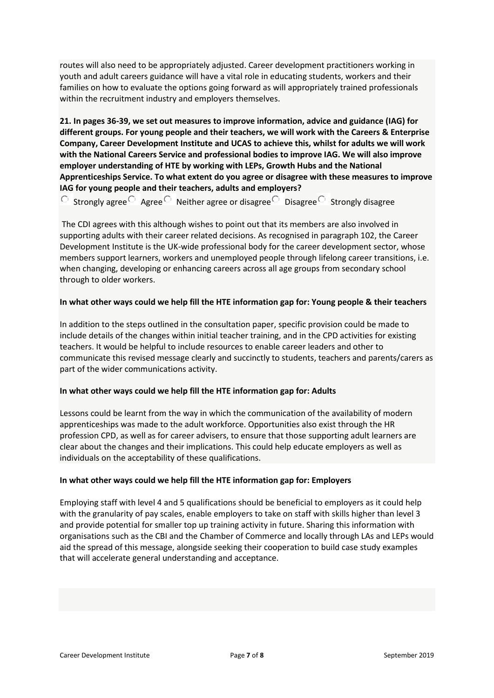routes will also need to be appropriately adjusted. Career development practitioners working in youth and adult careers guidance will have a vital role in educating students, workers and their families on how to evaluate the options going forward as will appropriately trained professionals within the recruitment industry and employers themselves.

**21. In pages 36-39, we set out measures to improve information, advice and guidance (IAG) for different groups. For young people and their teachers, we will work with the Careers & Enterprise Company, Career Development Institute and UCAS to achieve this, whilst for adults we will work with the National Careers Service and professional bodies to improve IAG. We will also improve employer understanding of HTE by working with LEPs, Growth Hubs and the National Apprenticeships Service. To what extent do you agree or disagree with these measures to improve IAG for young people and their teachers, adults and employers?**

Strongly agree  $\overline{\circ}$  Agree  $\overline{\circ}$  Neither agree or disagree Disagree Strongly disagree

The CDI agrees with this although wishes to point out that its members are also involved in supporting adults with their career related decisions. As recognised in paragraph 102, the Career Development Institute is the UK-wide professional body for the career development sector, whose members support learners, workers and unemployed people through lifelong career transitions, i.e. when changing, developing or enhancing careers across all age groups from secondary school through to older workers.

## **In what other ways could we help fill the HTE information gap for: Young people & their teachers**

In addition to the steps outlined in the consultation paper, specific provision could be made to include details of the changes within initial teacher training, and in the CPD activities for existing teachers. It would be helpful to include resources to enable career leaders and other to communicate this revised message clearly and succinctly to students, teachers and parents/carers as part of the wider communications activity.

### **In what other ways could we help fill the HTE information gap for: Adults**

Lessons could be learnt from the way in which the communication of the availability of modern apprenticeships was made to the adult workforce. Opportunities also exist through the HR profession CPD, as well as for career advisers, to ensure that those supporting adult learners are clear about the changes and their implications. This could help educate employers as well as individuals on the acceptability of these qualifications.

### **In what other ways could we help fill the HTE information gap for: Employers**

Employing staff with level 4 and 5 qualifications should be beneficial to employers as it could help with the granularity of pay scales, enable employers to take on staff with skills higher than level 3 and provide potential for smaller top up training activity in future. Sharing this information with organisations such as the CBI and the Chamber of Commerce and locally through LAs and LEPs would aid the spread of this message, alongside seeking their cooperation to build case study examples that will accelerate general understanding and acceptance.